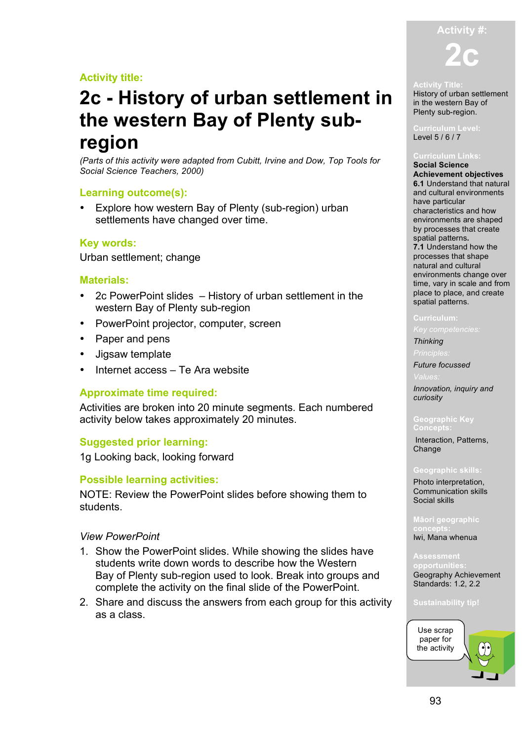## **Activity title:**

# **2c - History of urban settlement in the western Bay of Plenty subregion**

*(Parts of this activity were adapted from Cubitt, Irvine and Dow, Top Tools for Social Science Teachers, 2000)*

## **Learning outcome(s):**

• Explore how western Bay of Plenty (sub-region) urban settlements have changed over time.

## **Key words:**

Urban settlement; change

## **Materials:**

- 2c PowerPoint slides History of urban settlement in the western Bay of Plenty sub-region
- PowerPoint projector, computer, screen
- Paper and pens
- Jigsaw template
- Internet access Te Ara website

## **Approximate time required:**

Activities are broken into 20 minute segments. Each numbered activity below takes approximately 20 minutes.

## **Suggested prior learning:**

1g Looking back, looking forward

## **Possible learning activities:**

NOTE: Review the PowerPoint slides before showing them to students.

### *View PowerPoint*

- 1. Show the PowerPoint slides. While showing the slides have students write down words to describe how the Western Bay of Plenty sub-region used to look. Break into groups and complete the activity on the final slide of the PowerPoint.
- 2. Share and discuss the answers from each group for this activity as a class.



History of urban settlement in the western Bay of Plenty sub-region.

Level 5 / 6 / 7

#### **Curriculum Links: Social Science**

**Achievement objectives 6.1** Understand that natural and cultural environments have particular characteristics and how environments are shaped by processes that create spatial patterns**. 7.1** Understand how the processes that shape natural and cultural environments change over time, vary in scale and from place to place, and create spatial patterns.

### **Curriculum:**

## *Thinking*

*Principles:*

## *Future focussed*

*Innovation, inquiry and curiosity*

#### **Geographic Key Concepts:**

Interaction, Patterns, Change

#### **Geographic skills:**

Photo interpretation, Communication skills Social skills

**Māori geographic**  Iwi, Mana whenua

**Assessment**  Geography Achievement Standards: 1.2, 2.2

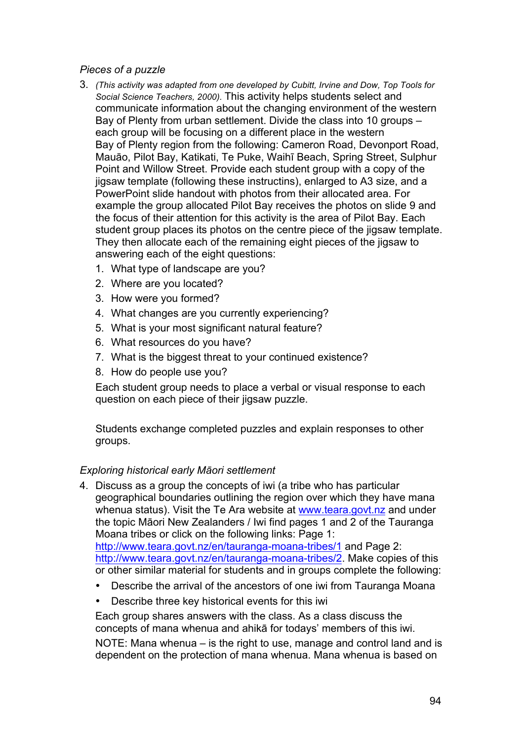## *Pieces of a puzzle*

- 3. *(This activity was adapted from one developed by Cubitt, Irvine and Dow, Top Tools for Social Science Teachers, 2000).* This activity helps students select and communicate information about the changing environment of the western Bay of Plenty from urban settlement. Divide the class into 10 groups – each group will be focusing on a different place in the western Bay of Plenty region from the following: Cameron Road, Devonport Road, Mauāo, Pilot Bay, Katikati, Te Puke, Waihī Beach, Spring Street, Sulphur Point and Willow Street. Provide each student group with a copy of the jigsaw template (following these instructins), enlarged to A3 size, and a PowerPoint slide handout with photos from their allocated area. For example the group allocated Pilot Bay receives the photos on slide 9 and the focus of their attention for this activity is the area of Pilot Bay. Each student group places its photos on the centre piece of the jigsaw template. They then allocate each of the remaining eight pieces of the jigsaw to answering each of the eight questions:
	- 1. What type of landscape are you?
	- 2. Where are you located?
	- 3. How were you formed?
	- 4. What changes are you currently experiencing?
	- 5. What is your most significant natural feature?
	- 6. What resources do you have?
	- 7. What is the biggest threat to your continued existence?
	- 8. How do people use you?

Each student group needs to place a verbal or visual response to each question on each piece of their jigsaw puzzle.

Students exchange completed puzzles and explain responses to other groups.

## *Exploring historical early Māori settlement*

- 4. Discuss as a group the concepts of iwi (a tribe who has particular geographical boundaries outlining the region over which they have mana whenua status). Visit the Te Ara website at www.teara.govt.nz and under the topic Māori New Zealanders / Iwi find pages 1 and 2 of the Tauranga Moana tribes or click on the following links: Page 1: http://www.teara.govt.nz/en/tauranga-moana-tribes/1 and Page 2: http://www.teara.govt.nz/en/tauranga-moana-tribes/2. Make copies of this or other similar material for students and in groups complete the following:
	- Describe the arrival of the ancestors of one iwi from Tauranga Moana
	- Describe three key historical events for this iwi

Each group shares answers with the class. As a class discuss the concepts of mana whenua and ahikā for todays' members of this iwi. NOTE: Mana whenua – is the right to use, manage and control land and is dependent on the protection of mana whenua. Mana whenua is based on